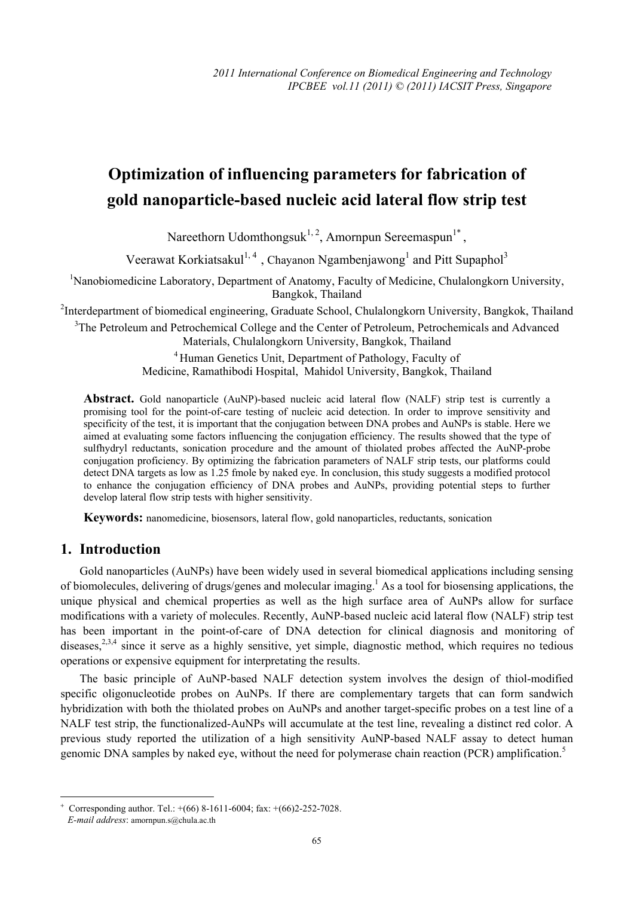# **Optimization of influencing parameters for fabrication of gold nanoparticle-based nucleic acid lateral flow strip test**

Nareethorn Udomthongsuk<sup>1, 2</sup>, Amornpun Sereemaspun<sup>1\*</sup>,

Veerawat Korkiatsakul<sup>1,4</sup>, Chayanon Ngambenjawong<sup>1</sup> and Pitt Supaphol<sup>3</sup>

<sup>1</sup>Nanobiomedicine Laboratory, Department of Anatomy, Faculty of Medicine, Chulalongkorn University, Bangkok, Thailand

<sup>2</sup>Interdepartment of biomedical engineering, Graduate School, Chulalongkorn University, Bangkok, Thailand

<sup>3</sup>The Petroleum and Petrochemical College and the Center of Petroleum, Petrochemicals and Advanced Materials, Chulalongkorn University, Bangkok, Thailand

> 4 Human Genetics Unit, Department of Pathology, Faculty of Medicine, Ramathibodi Hospital, Mahidol University, Bangkok, Thailand

**Abstract.** Gold nanoparticle (AuNP)-based nucleic acid lateral flow (NALF) strip test is currently a promising tool for the point-of-care testing of nucleic acid detection. In order to improve sensitivity and specificity of the test, it is important that the conjugation between DNA probes and AuNPs is stable. Here we aimed at evaluating some factors influencing the conjugation efficiency. The results showed that the type of sulfhydryl reductants, sonication procedure and the amount of thiolated probes affected the AuNP-probe conjugation proficiency. By optimizing the fabrication parameters of NALF strip tests, our platforms could detect DNA targets as low as 1.25 fmole by naked eye. In conclusion, this study suggests a modified protocol to enhance the conjugation efficiency of DNA probes and AuNPs, providing potential steps to further develop lateral flow strip tests with higher sensitivity.

**Keywords:** nanomedicine, biosensors, lateral flow, gold nanoparticles, reductants, sonication

# **1. Introduction**

Gold nanoparticles (AuNPs) have been widely used in several biomedical applications including sensing of biomolecules, delivering of drugs/genes and molecular imaging.<sup>1</sup> As a tool for biosensing applications, the unique physical and chemical properties as well as the high surface area of AuNPs allow for surface modifications with a variety of molecules. Recently, AuNP-based nucleic acid lateral flow (NALF) strip test has been important in the point-of-care of DNA detection for clinical diagnosis and monitoring of diseases.<sup>2,3,4</sup> since it serve as a highly sensitive, yet simple, diagnostic method, which requires no tedious operations or expensive equipment for interpretating the results.

The basic principle of AuNP-based NALF detection system involves the design of thiol-modified specific oligonucleotide probes on AuNPs. If there are complementary targets that can form sandwich hybridization with both the thiolated probes on AuNPs and another target-specific probes on a test line of a NALF test strip, the functionalized-AuNPs will accumulate at the test line, revealing a distinct red color. A previous study reported the utilization of a high sensitivity AuNP-based NALF assay to detect human genomic DNA samples by naked eye, without the need for polymerase chain reaction (PCR) amplification.<sup>5</sup>

 $\overline{a}$ 

<sup>+</sup> Corresponding author. Tel.: +(66) 8-1611-6004; fax: +(66)2-252-7028.

*E-mail address*: amornpun.s@chula.ac.th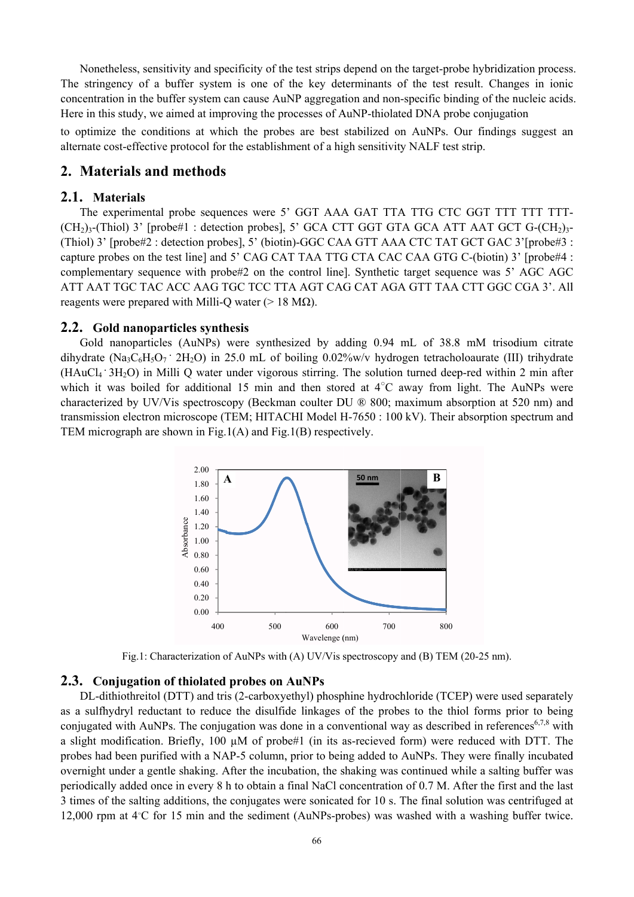Nonetheless, sensitivity and specificity of the test strips depend on the target-probe hybridization process. The stringency of a buffer system is one of the key determinants of the test result. Changes in ionic concentration in the buffer system can cause AuNP aggregation and non-specific binding of the nucleic acids. Here in this study, we aimed at improving the processes of AuNP-thiolated DNA probe conjugation

to optimize the conditions at which the probes are best stabilized on AuNPs. Our findings suggest an alternate cost-effective protocol for the establishment of a high sensitivity NALF test strip.

# 2. Materials and methods

#### 2.1. Materials

The experimental probe sequences were 5' GGT AAA GAT TTA TTG CTC GGT TTT TTT TTT- $(CH_2)_3$ -(Thiol) 3' [probe#1 : detection probes], 5' GCA CTT GGT GTA GCA ATT AAT GCT G- $(CH_2)_3$ -(Thiol) 3' [probe#2 : detection probes], 5' (biotin)-GGC CAA GTT AAA CTC TAT GCT GAC 3'[probe#3 : capture probes on the test line] and 5' CAG CAT TAA TTG CTA CAC CAA GTG C-(biotin) 3' [probe#4 : complementary sequence with probe#2 on the control line]. Synthetic target sequence was 5' AGC AGC ATT AAT TGC TAC ACC AAG TGC TCC TTA AGT CAG CAT AGA GTT TAA CTT GGC CGA 3'. All reagents were prepared with Milli-O water ( $> 18$  M $\Omega$ ).

#### 2.2. Gold nanoparticles synthesis

Gold nanoparticles (AuNPs) were synthesized by adding 0.94 mL of 38.8 mM trisodium citrate dihydrate (Na<sub>3</sub>C<sub>6</sub>H<sub>5</sub>O<sub>7</sub> 2H<sub>2</sub>O) in 25.0 mL of boiling 0.02%w/v hydrogen tetrachologurate (III) trihydrate (HAuCl<sub>4</sub> · 3H<sub>2</sub>O) in Milli Q water under vigorous stirring. The solution turned deep-red within 2 min after which it was boiled for additional 15 min and then stored at  $4^{\circ}$ C away from light. The AuNPs were characterized by UV/Vis spectroscopy (Beckman coulter DU ® 800; maximum absorption at 520 nm) and transmission electron microscope (TEM; HITACHI Model H-7650 : 100 kV). Their absorption spectrum and TEM micrograph are shown in Fig.1(A) and Fig.1(B) respectively.



Fig.1: Characterization of AuNPs with (A) UV/Vis spectroscopy and (B) TEM (20-25 nm).

## 2.3. Conjugation of thiolated probes on AuNPs

DL-dithiothreitol (DTT) and tris (2-carboxyethyl) phosphine hydrochloride (TCEP) were used separately as a sulfhydryl reductant to reduce the disulfide linkages of the probes to the thiol forms prior to being conjugated with AuNPs. The conjugation was done in a conventional way as described in references<sup>6,7,8</sup> with a slight modification. Briefly, 100  $\mu$ M of probe#1 (in its as-recieved form) were reduced with DTT. The probes had been purified with a NAP-5 column, prior to being added to AuNPs. They were finally incubated overnight under a gentle shaking. After the incubation, the shaking was continued while a salting buffer was periodically added once in every 8 h to obtain a final NaCl concentration of 0.7 M. After the first and the last 3 times of the salting additions, the conjugates were sonicated for 10 s. The final solution was centrifuged at 12,000 rpm at  $4^{\circ}$ C for 15 min and the sediment (AuNPs-probes) was washed with a washing buffer twice.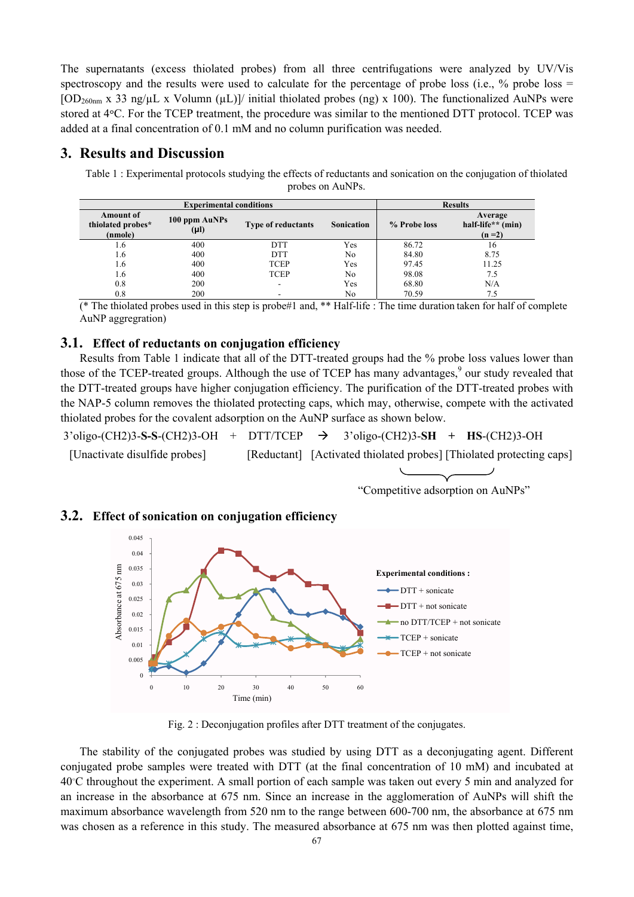The supernatants (excess thiolated probes) from all three centrifugations were analyzed by UV/Vis spectroscopy and the results were used to calculate for the percentage of probe loss (i.e.,  $\%$  probe loss =  $[OD<sub>260nm</sub> x 33 ng/µL x Volumn (µL)]/initial thiolated probes (ng) x 100). The functionalized AuNPs were$ stored at 4 $\degree$ C. For the TCEP treatment, the procedure was similar to the mentioned DTT protocol. TCEP was added at a final concentration of 0.1 mM and no column purification was needed.

## **3. Results and Discussion**

Table 1 : Experimental protocols studying the effects of reductants and sonication on the conjugation of thiolated probes on AuNPs.

|                                                  | <b>Experimental conditions</b> | <b>Results</b>            |                   |              |                                         |
|--------------------------------------------------|--------------------------------|---------------------------|-------------------|--------------|-----------------------------------------|
| <b>Amount of</b><br>thiolated probes*<br>(nmole) | 100 ppm AuNPs<br>$(\mu l)$     | <b>Type of reductants</b> | <b>Sonication</b> | % Probe loss | Average<br>half-life** (min)<br>$(n=2)$ |
| 1.6                                              | 400                            | <b>DTT</b>                | Yes               | 86.72        | 16                                      |
| 1.6                                              | 400                            | <b>DTT</b>                | No                | 84.80        | 8.75                                    |
| 1.6                                              | 400                            | <b>TCEP</b>               | Yes               | 97.45        | 11.25                                   |
| 1.6                                              | 400                            | <b>TCEP</b>               | No                | 98.08        | 7.5                                     |
| 0.8                                              | 200                            | $\overline{\phantom{a}}$  | Yes               | 68.80        | N/A                                     |
| 0.8                                              | 200                            |                           | No                | 70.59        | 7.5                                     |

(\* The thiolated probes used in this step is probe#1 and, \*\* Half-life : The time duration taken for half of complete AuNP aggregration)

#### **3.1. Effect of reductants on conjugation efficiency**

Results from Table 1 indicate that all of the DTT-treated groups had the % probe loss values lower than those of the TCEP-treated groups. Although the use of TCEP has many advantages, $\degree$  our study revealed that the DTT-treated groups have higher conjugation efficiency. The purification of the DTT-treated probes with the NAP-5 column removes the thiolated protecting caps, which may, otherwise, compete with the activated thiolated probes for the covalent adsorption on the AuNP surface as shown below.

 3'oligo-(CH2)3-**S-S**-(CH2)3-OH + DTT/TCEP Æ 3'oligo-(CH2)3-**SH + HS**-(CH2)3-OH [Unactivate disulfide probes] [Reductant] [Activated thiolated probes] [Thiolated protecting caps]

$$
\overbrace{\qquad \qquad }
$$

#### "Competitive adsorption on AuNPs"

#### **3.2. Effect of sonication on conjugation efficiency**



Fig. 2 : Deconjugation profiles after DTT treatment of the conjugates.

The stability of the conjugated probes was studied by using DTT as a deconjugating agent. Different conjugated probe samples were treated with DTT (at the final concentration of 10 mM) and incubated at 40°C throughout the experiment. A small portion of each sample was taken out every 5 min and analyzed for an increase in the absorbance at 675 nm. Since an increase in the agglomeration of AuNPs will shift the maximum absorbance wavelength from 520 nm to the range between 600-700 nm, the absorbance at 675 nm was chosen as a reference in this study. The measured absorbance at 675 nm was then plotted against time,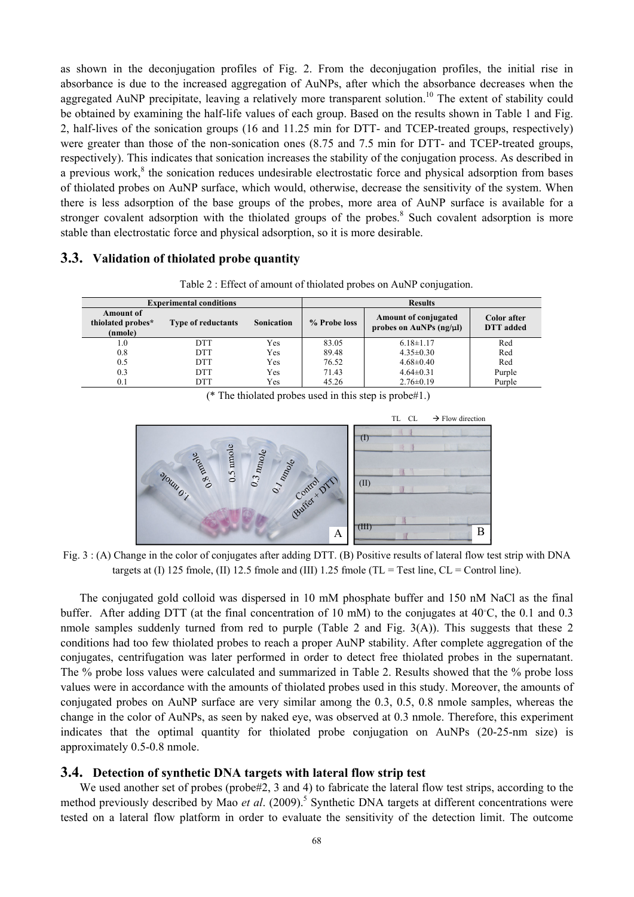as shown in the deconjugation profiles of Fig. 2. From the deconjugation profiles, the initial rise in absorbance is due to the increased aggregation of AuNPs, after which the absorbance decreases when the aggregated AuNP precipitate, leaving a relatively more transparent solution.<sup>10</sup> The extent of stability could be obtained by examining the half-life values of each group. Based on the results shown in Table 1 and Fig. 2, half-lives of the sonication groups (16 and 11.25 min for DTT- and TCEP-treated groups, respectively) were greater than those of the non-sonication ones (8.75 and 7.5 min for DTT- and TCEP-treated groups, respectively). This indicates that sonication increases the stability of the conjugation process. As described in a previous work, ${}^{8}$  the sonication reduces undesirable electrostatic force and physical adsorption from bases of thiolated probes on AuNP surface, which would, otherwise, decrease the sensitivity of the system. When there is less adsorption of the base groups of the probes, more area of AuNP surface is available for a stronger covalent adsorption with the thiolated groups of the probes.<sup>8</sup> Such covalent adsorption is more stable than electrostatic force and physical adsorption, so it is more desirable.

## **3.3. Validation of thiolated probe quantity**

|                                                  | <b>Experimental conditions</b> |                   | <b>Results</b> |                                                             |                                 |  |
|--------------------------------------------------|--------------------------------|-------------------|----------------|-------------------------------------------------------------|---------------------------------|--|
| <b>Amount of</b><br>thiolated probes*<br>(nmole) | <b>Type of reductants</b>      | <b>Sonication</b> | % Probe loss   | <b>Amount of conjugated</b><br>probes on AuNPs $(ng/\mu l)$ | Color after<br><b>DTT</b> added |  |
| 1.0                                              | <b>DTT</b>                     | Yes               | 83.05          | $6.18 \pm 1.17$                                             | Red                             |  |
| 0.8                                              | <b>DTT</b>                     | Yes               | 89.48          | $4.35 \pm 0.30$                                             | Red                             |  |
| 0.5                                              | <b>DTT</b>                     | Yes               | 76.52          | $4.68 \pm 0.40$                                             | Red                             |  |
| 0.3                                              | <b>DTT</b>                     | Yes               | 71.43          | $4.64 \pm 0.31$                                             | Purple                          |  |
| 0.1                                              | <b>DTT</b>                     | Yes               | 45.26          | $2.76 \pm 0.19$                                             | Purple                          |  |

Table 2 : Effect of amount of thiolated probes on AuNP conjugation.

(\* The thiolated probes used in this step is probe#1.)



Fig. 3 : (A) Change in the color of conjugates after adding DTT. (B) Positive results of lateral flow test strip with DNA targets at (I) 125 fmole, (II) 12.5 fmole and (III) 1.25 fmole (TL = Test line,  $CL =$  Control line).

The conjugated gold colloid was dispersed in 10 mM phosphate buffer and 150 nM NaCl as the final buffer. After adding DTT (at the final concentration of 10 mM) to the conjugates at  $40^{\circ}$ C, the 0.1 and 0.3 nmole samples suddenly turned from red to purple (Table 2 and Fig. 3(A)). This suggests that these 2 conditions had too few thiolated probes to reach a proper AuNP stability. After complete aggregation of the conjugates, centrifugation was later performed in order to detect free thiolated probes in the supernatant. The % probe loss values were calculated and summarized in Table 2. Results showed that the % probe loss values were in accordance with the amounts of thiolated probes used in this study. Moreover, the amounts of conjugated probes on AuNP surface are very similar among the 0.3, 0.5, 0.8 nmole samples, whereas the change in the color of AuNPs, as seen by naked eye, was observed at 0.3 nmole. Therefore, this experiment indicates that the optimal quantity for thiolated probe conjugation on AuNPs (20-25-nm size) is approximately 0.5-0.8 nmole.

## **3.4. Detection of synthetic DNA targets with lateral flow strip test**

We used another set of probes (probe#2, 3 and 4) to fabricate the lateral flow test strips, according to the method previously described by Mao *et al.* (2009).<sup>5</sup> Synthetic DNA targets at different concentrations were tested on a lateral flow platform in order to evaluate the sensitivity of the detection limit. The outcome